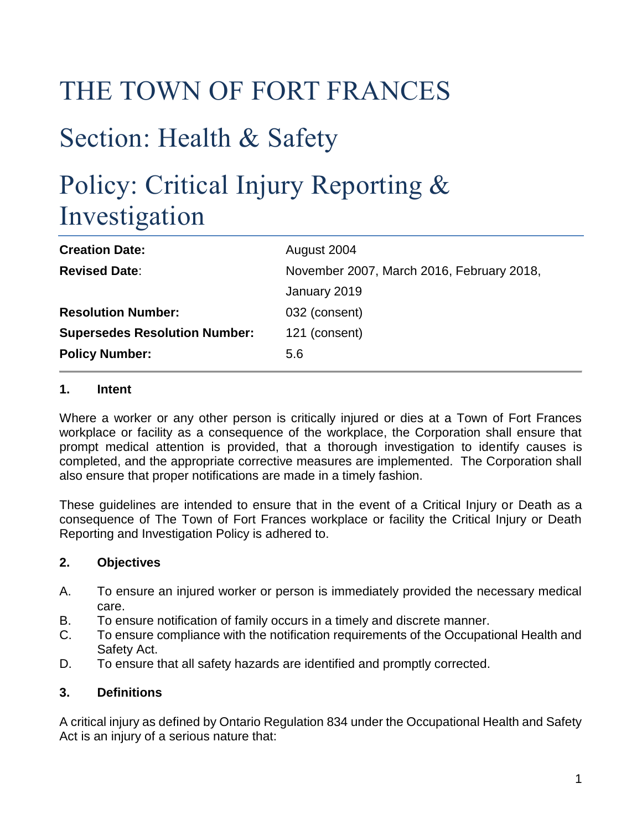# THE TOWN OF FORT FRANCES

# Section: Health & Safety

# Policy: Critical Injury Reporting & Investigation

| <b>Creation Date:</b>                | August 2004                               |
|--------------------------------------|-------------------------------------------|
| <b>Revised Date:</b>                 | November 2007, March 2016, February 2018, |
|                                      | January 2019                              |
| <b>Resolution Number:</b>            | 032 (consent)                             |
| <b>Supersedes Resolution Number:</b> | 121 (consent)                             |
| <b>Policy Number:</b>                | 5.6                                       |
|                                      |                                           |

## **1. Intent**

Where a worker or any other person is critically injured or dies at a Town of Fort Frances workplace or facility as a consequence of the workplace, the Corporation shall ensure that prompt medical attention is provided, that a thorough investigation to identify causes is completed, and the appropriate corrective measures are implemented. The Corporation shall also ensure that proper notifications are made in a timely fashion.

These guidelines are intended to ensure that in the event of a Critical Injury or Death as a consequence of The Town of Fort Frances workplace or facility the Critical Injury or Death Reporting and Investigation Policy is adhered to.

## **2. Objectives**

- A. To ensure an injured worker or person is immediately provided the necessary medical care.
- B. To ensure notification of family occurs in a timely and discrete manner.
- C. To ensure compliance with the notification requirements of the Occupational Health and Safety Act.
- D. To ensure that all safety hazards are identified and promptly corrected.

#### **3. Definitions**

A critical injury as defined by Ontario Regulation 834 under the Occupational Health and Safety Act is an injury of a serious nature that: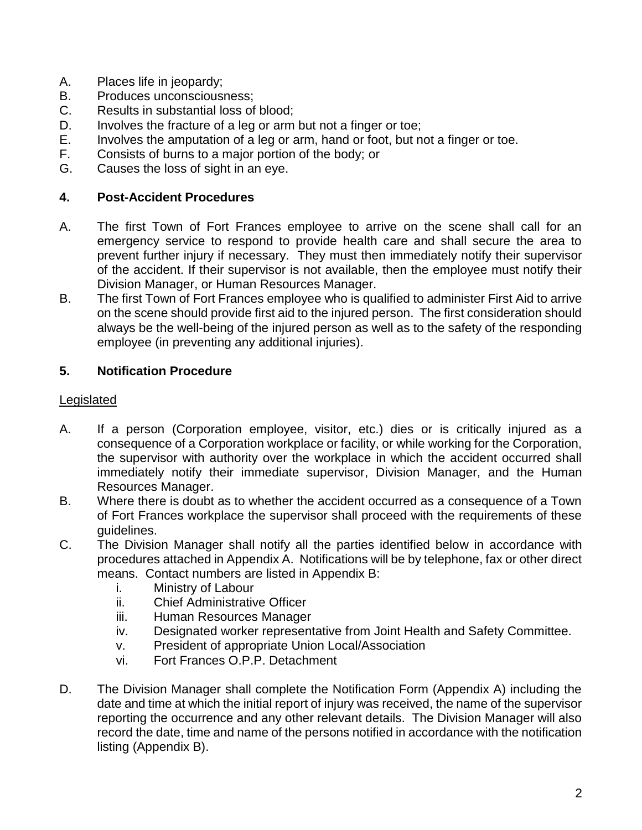- A. Places life in jeopardy;
- B. Produces unconsciousness;<br>C. Results in substantial loss of
- Results in substantial loss of blood:
- D. Involves the fracture of a leg or arm but not a finger or toe;
- E. Involves the amputation of a leg or arm, hand or foot, but not a finger or toe.
- F. Consists of burns to a major portion of the body; or
- G. Causes the loss of sight in an eye.

## **4. Post-Accident Procedures**

- A. The first Town of Fort Frances employee to arrive on the scene shall call for an emergency service to respond to provide health care and shall secure the area to prevent further injury if necessary. They must then immediately notify their supervisor of the accident. If their supervisor is not available, then the employee must notify their Division Manager, or Human Resources Manager.
- B. The first Town of Fort Frances employee who is qualified to administer First Aid to arrive on the scene should provide first aid to the injured person. The first consideration should always be the well-being of the injured person as well as to the safety of the responding employee (in preventing any additional injuries).

## **5. Notification Procedure**

## Legislated

- A. If a person (Corporation employee, visitor, etc.) dies or is critically injured as a consequence of a Corporation workplace or facility, or while working for the Corporation, the supervisor with authority over the workplace in which the accident occurred shall immediately notify their immediate supervisor, Division Manager, and the Human Resources Manager.
- B. Where there is doubt as to whether the accident occurred as a consequence of a Town of Fort Frances workplace the supervisor shall proceed with the requirements of these guidelines.
- C. The Division Manager shall notify all the parties identified below in accordance with procedures attached in Appendix A. Notifications will be by telephone, fax or other direct means. Contact numbers are listed in Appendix B:
	- i. Ministry of Labour
	- ii. Chief Administrative Officer
	- iii. Human Resources Manager
	- iv. Designated worker representative from Joint Health and Safety Committee.
	- v. President of appropriate Union Local/Association
	- vi. Fort Frances O.P.P. Detachment
- D. The Division Manager shall complete the Notification Form (Appendix A) including the date and time at which the initial report of injury was received, the name of the supervisor reporting the occurrence and any other relevant details. The Division Manager will also record the date, time and name of the persons notified in accordance with the notification listing (Appendix B).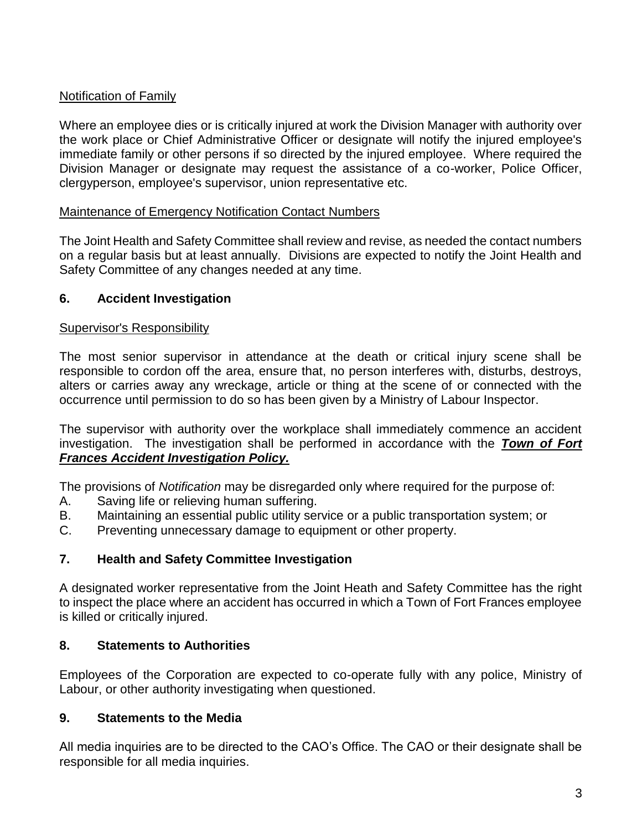## Notification of Family

Where an employee dies or is critically injured at work the Division Manager with authority over the work place or Chief Administrative Officer or designate will notify the injured employee's immediate family or other persons if so directed by the injured employee. Where required the Division Manager or designate may request the assistance of a co-worker, Police Officer, clergyperson, employee's supervisor, union representative etc.

#### Maintenance of Emergency Notification Contact Numbers

The Joint Health and Safety Committee shall review and revise, as needed the contact numbers on a regular basis but at least annually. Divisions are expected to notify the Joint Health and Safety Committee of any changes needed at any time.

#### **6. Accident Investigation**

#### Supervisor's Responsibility

The most senior supervisor in attendance at the death or critical injury scene shall be responsible to cordon off the area, ensure that, no person interferes with, disturbs, destroys, alters or carries away any wreckage, article or thing at the scene of or connected with the occurrence until permission to do so has been given by a Ministry of Labour Inspector.

The supervisor with authority over the workplace shall immediately commence an accident investigation. The investigation shall be performed in accordance with the *Town of Fort Frances Accident Investigation Policy.*

The provisions of *Notification* may be disregarded only where required for the purpose of:

- A. Saving life or relieving human suffering.
- B. Maintaining an essential public utility service or a public transportation system; or
- C. Preventing unnecessary damage to equipment or other property.

## **7. Health and Safety Committee Investigation**

A designated worker representative from the Joint Heath and Safety Committee has the right to inspect the place where an accident has occurred in which a Town of Fort Frances employee is killed or critically injured.

## **8. Statements to Authorities**

Employees of the Corporation are expected to co-operate fully with any police, Ministry of Labour, or other authority investigating when questioned.

#### **9. Statements to the Media**

All media inquiries are to be directed to the CAO's Office. The CAO or their designate shall be responsible for all media inquiries.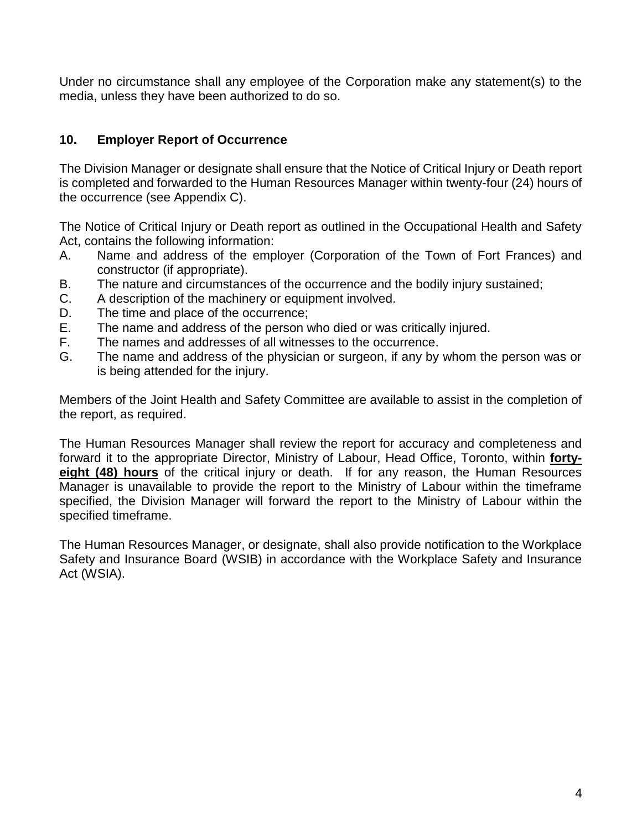Under no circumstance shall any employee of the Corporation make any statement(s) to the media, unless they have been authorized to do so.

## **10. Employer Report of Occurrence**

The Division Manager or designate shall ensure that the Notice of Critical Injury or Death report is completed and forwarded to the Human Resources Manager within twenty-four (24) hours of the occurrence (see Appendix C).

The Notice of Critical Injury or Death report as outlined in the Occupational Health and Safety Act, contains the following information:

- A. Name and address of the employer (Corporation of the Town of Fort Frances) and constructor (if appropriate).
- B. The nature and circumstances of the occurrence and the bodily injury sustained;
- C. A description of the machinery or equipment involved.
- D. The time and place of the occurrence;
- E. The name and address of the person who died or was critically injured.
- F. The names and addresses of all witnesses to the occurrence.
- G. The name and address of the physician or surgeon, if any by whom the person was or is being attended for the injury.

Members of the Joint Health and Safety Committee are available to assist in the completion of the report, as required.

The Human Resources Manager shall review the report for accuracy and completeness and forward it to the appropriate Director, Ministry of Labour, Head Office, Toronto, within **fortyeight (48) hours** of the critical injury or death. If for any reason, the Human Resources Manager is unavailable to provide the report to the Ministry of Labour within the timeframe specified, the Division Manager will forward the report to the Ministry of Labour within the specified timeframe.

The Human Resources Manager, or designate, shall also provide notification to the Workplace Safety and Insurance Board (WSIB) in accordance with the Workplace Safety and Insurance Act (WSIA).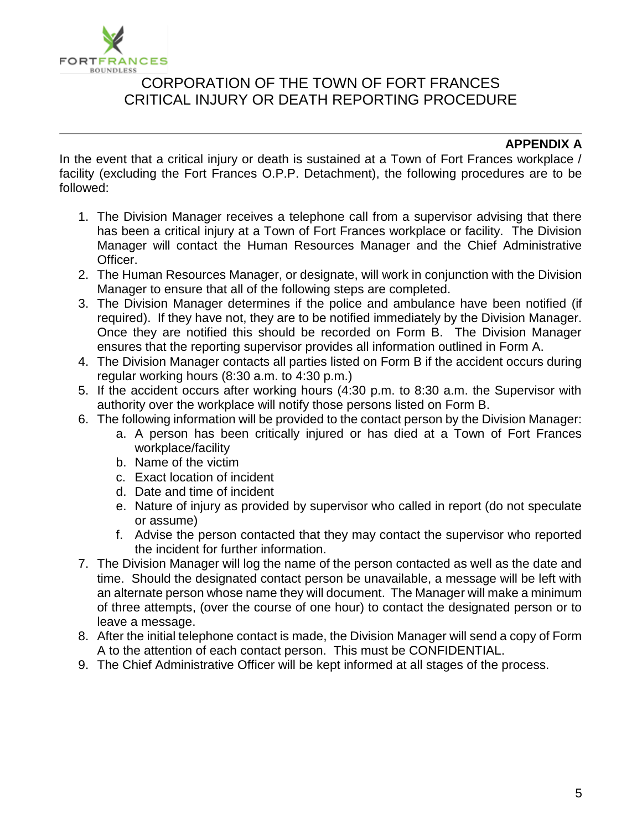

## CORPORATION OF THE TOWN OF FORT FRANCES CRITICAL INJURY OR DEATH REPORTING PROCEDURE

### **APPENDIX A**

In the event that a critical injury or death is sustained at a Town of Fort Frances workplace / facility (excluding the Fort Frances O.P.P. Detachment), the following procedures are to be followed:

- 1. The Division Manager receives a telephone call from a supervisor advising that there has been a critical injury at a Town of Fort Frances workplace or facility. The Division Manager will contact the Human Resources Manager and the Chief Administrative Officer.
- 2. The Human Resources Manager, or designate, will work in conjunction with the Division Manager to ensure that all of the following steps are completed.
- 3. The Division Manager determines if the police and ambulance have been notified (if required). If they have not, they are to be notified immediately by the Division Manager. Once they are notified this should be recorded on Form B. The Division Manager ensures that the reporting supervisor provides all information outlined in Form A.
- 4. The Division Manager contacts all parties listed on Form B if the accident occurs during regular working hours (8:30 a.m. to 4:30 p.m.)
- 5. If the accident occurs after working hours (4:30 p.m. to 8:30 a.m. the Supervisor with authority over the workplace will notify those persons listed on Form B.
- 6. The following information will be provided to the contact person by the Division Manager:
	- a. A person has been critically injured or has died at a Town of Fort Frances workplace/facility
	- b. Name of the victim
	- c. Exact location of incident
	- d. Date and time of incident
	- e. Nature of injury as provided by supervisor who called in report (do not speculate or assume)
	- f. Advise the person contacted that they may contact the supervisor who reported the incident for further information.
- 7. The Division Manager will log the name of the person contacted as well as the date and time. Should the designated contact person be unavailable, a message will be left with an alternate person whose name they will document. The Manager will make a minimum of three attempts, (over the course of one hour) to contact the designated person or to leave a message.
- 8. After the initial telephone contact is made, the Division Manager will send a copy of Form A to the attention of each contact person. This must be CONFIDENTIAL.
- 9. The Chief Administrative Officer will be kept informed at all stages of the process.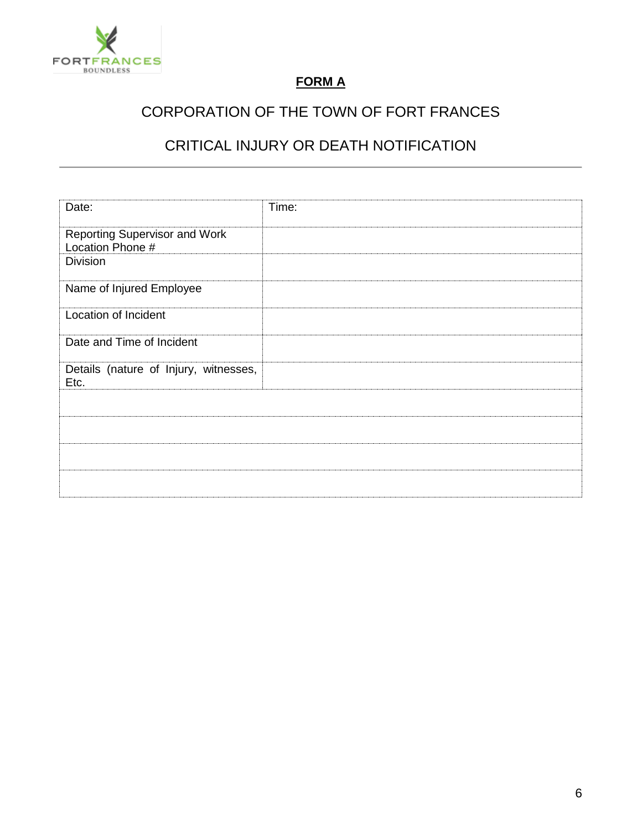

## **FORM A**

# CORPORATION OF THE TOWN OF FORT FRANCES

## CRITICAL INJURY OR DEATH NOTIFICATION

| Date:                                 | Time: |
|---------------------------------------|-------|
|                                       |       |
|                                       |       |
| Reporting Supervisor and Work         |       |
| Location Phone #                      |       |
| <b>Division</b>                       |       |
|                                       |       |
| Name of Injured Employee              |       |
|                                       |       |
| Location of Incident                  |       |
|                                       |       |
|                                       |       |
| Date and Time of Incident             |       |
|                                       |       |
| Details (nature of Injury, witnesses, |       |
| Etc.                                  |       |
|                                       |       |
|                                       |       |
|                                       |       |
|                                       |       |
|                                       |       |
|                                       |       |
|                                       |       |
|                                       |       |
|                                       |       |
|                                       |       |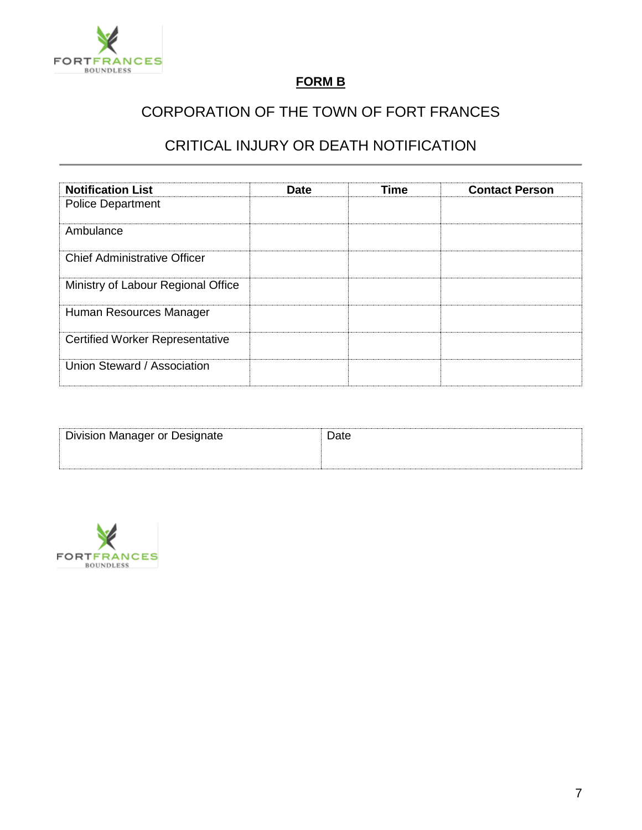

## **FORM B**

# CORPORATION OF THE TOWN OF FORT FRANCES

## CRITICAL INJURY OR DEATH NOTIFICATION

| <b>Notification List</b>               | <b>Date</b> | <b>Time</b> | <b>Contact Person</b> |
|----------------------------------------|-------------|-------------|-----------------------|
| <b>Police Department</b>               |             |             |                       |
| Ambulance                              |             |             |                       |
| <b>Chief Administrative Officer</b>    |             |             |                       |
| Ministry of Labour Regional Office     |             |             |                       |
| Human Resources Manager                |             |             |                       |
| <b>Certified Worker Representative</b> |             |             |                       |
| Union Steward / Association            |             |             |                       |

| <b>Division Manager or Designate</b> | Jate |  |
|--------------------------------------|------|--|
|                                      |      |  |

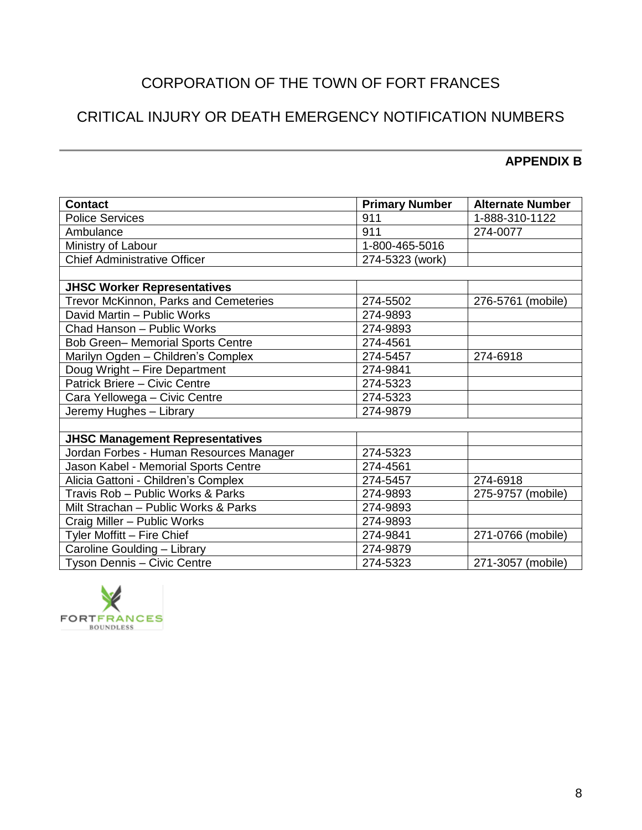# CORPORATION OF THE TOWN OF FORT FRANCES

# CRITICAL INJURY OR DEATH EMERGENCY NOTIFICATION NUMBERS

#### **APPENDIX B**

| <b>Contact</b>                               | <b>Primary Number</b> | <b>Alternate Number</b> |
|----------------------------------------------|-----------------------|-------------------------|
| <b>Police Services</b>                       | 911                   | 1-888-310-1122          |
| Ambulance                                    | 911                   | 274-0077                |
| Ministry of Labour                           | 1-800-465-5016        |                         |
| <b>Chief Administrative Officer</b>          | 274-5323 (work)       |                         |
|                                              |                       |                         |
| <b>JHSC Worker Representatives</b>           |                       |                         |
| <b>Trevor McKinnon, Parks and Cemeteries</b> | 274-5502              | 276-5761 (mobile)       |
| David Martin - Public Works                  | 274-9893              |                         |
| Chad Hanson - Public Works                   | 274-9893              |                         |
| <b>Bob Green- Memorial Sports Centre</b>     | 274-4561              |                         |
| Marilyn Ogden - Children's Complex           | 274-5457              | 274-6918                |
| Doug Wright - Fire Department                | 274-9841              |                         |
| Patrick Briere - Civic Centre                | 274-5323              |                         |
| Cara Yellowega - Civic Centre                | 274-5323              |                         |
| Jeremy Hughes - Library                      | 274-9879              |                         |
|                                              |                       |                         |
| <b>JHSC Management Representatives</b>       |                       |                         |
| Jordan Forbes - Human Resources Manager      | 274-5323              |                         |
| Jason Kabel - Memorial Sports Centre         | 274-4561              |                         |
| Alicia Gattoni - Children's Complex          | 274-5457              | 274-6918                |
| Travis Rob - Public Works & Parks            | 274-9893              | 275-9757 (mobile)       |
| Milt Strachan - Public Works & Parks         | 274-9893              |                         |
| Craig Miller - Public Works                  | 274-9893              |                         |
| Tyler Moffitt - Fire Chief                   | 274-9841              | 271-0766 (mobile)       |
| Caroline Goulding - Library                  | 274-9879              |                         |
| Tyson Dennis - Civic Centre                  | 274-5323              | 271-3057 (mobile)       |

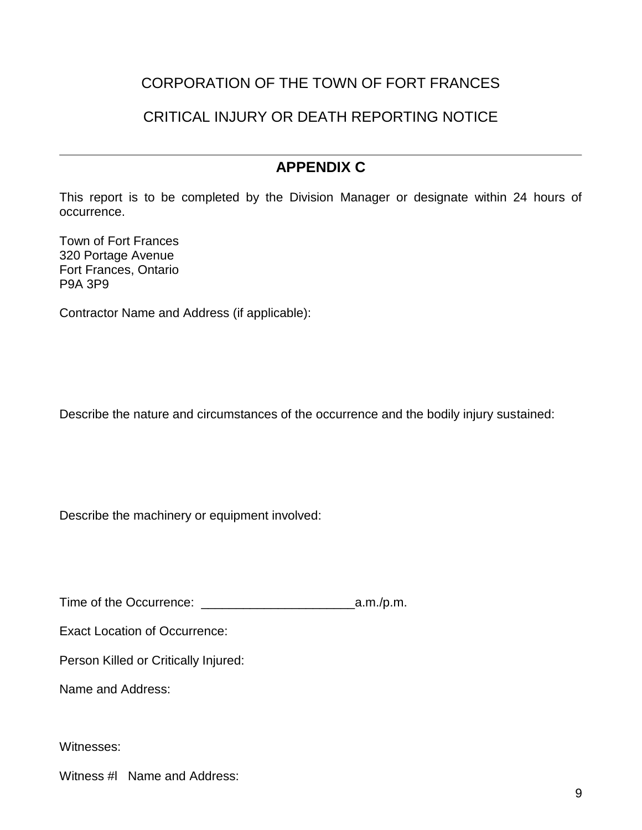## CORPORATION OF THE TOWN OF FORT FRANCES

## CRITICAL INJURY OR DEATH REPORTING NOTICE

## **APPENDIX C**

This report is to be completed by the Division Manager or designate within 24 hours of occurrence.

Town of Fort Frances 320 Portage Avenue Fort Frances, Ontario P9A 3P9

Contractor Name and Address (if applicable):

Describe the nature and circumstances of the occurrence and the bodily injury sustained:

Describe the machinery or equipment involved:

Time of the Occurrence: \_\_\_\_\_\_\_\_\_\_\_\_\_\_\_\_\_\_\_\_\_\_a.m./p.m.

Exact Location of Occurrence:

Person Killed or Critically Injured:

Name and Address:

Witnesses:

Witness #l Name and Address: